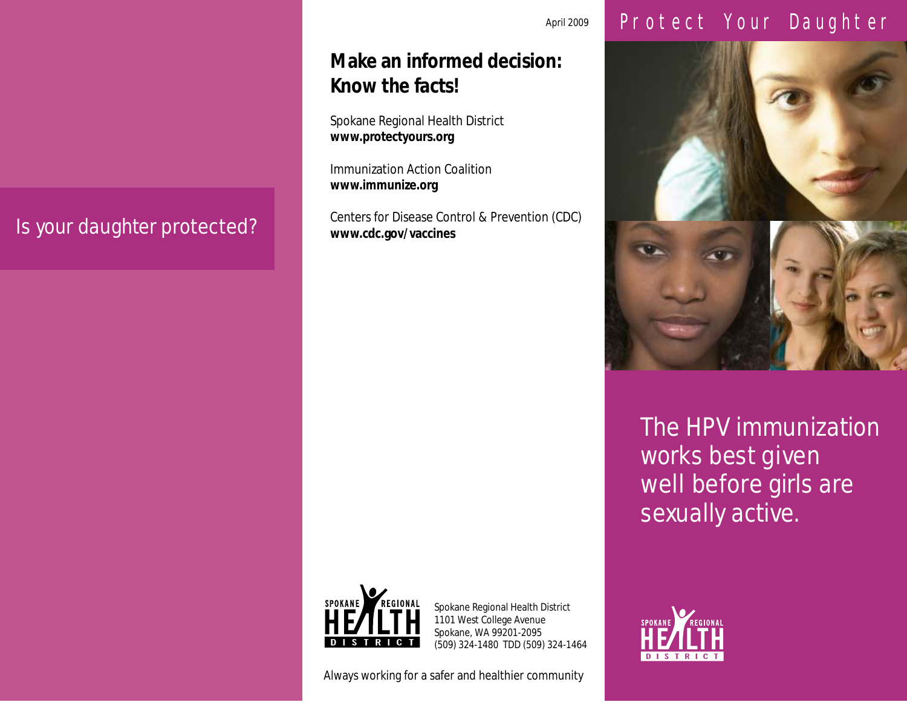## Is your daughter protected?

## **Make an informed decision: Know the facts!**

Spokane Regional Health District **www.protectyours.org**

Immunization Action Coalition **www.immunize.org**

Centers for Disease Control & Prevention (CDC) **www.cdc.gov/vaccines**



Spokane Regional Health District 1101 West College Avenue Spokane, WA 99201-2095 (509) 324-1480 TDD (509) 324-1464

Always working for a safer and healthier community

## April 2009 Protect Your Daughter



The HPV immunization works best given well before girls are sexually active.